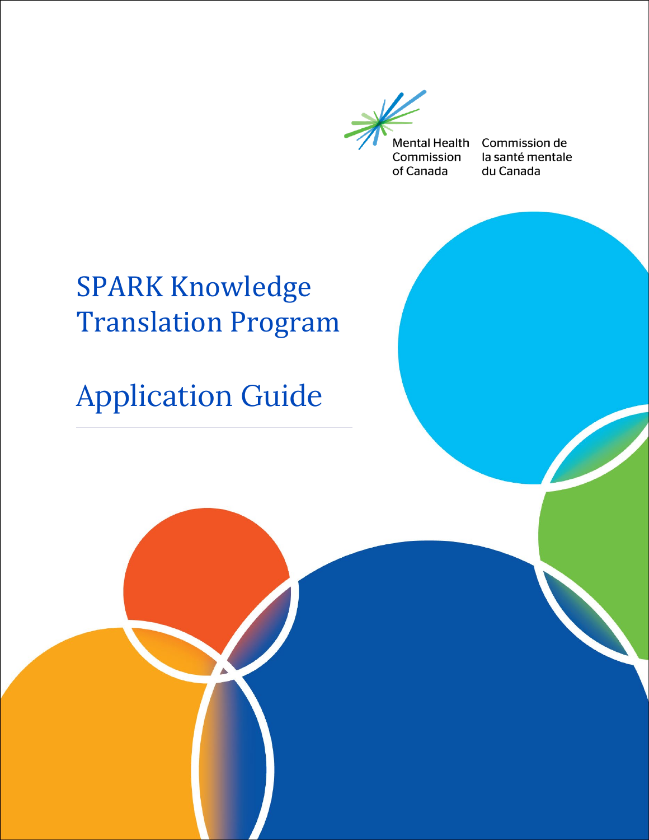

Commission de la santé mentale du Canada

# SPARK Knowledge Translation Program

# Application Guide

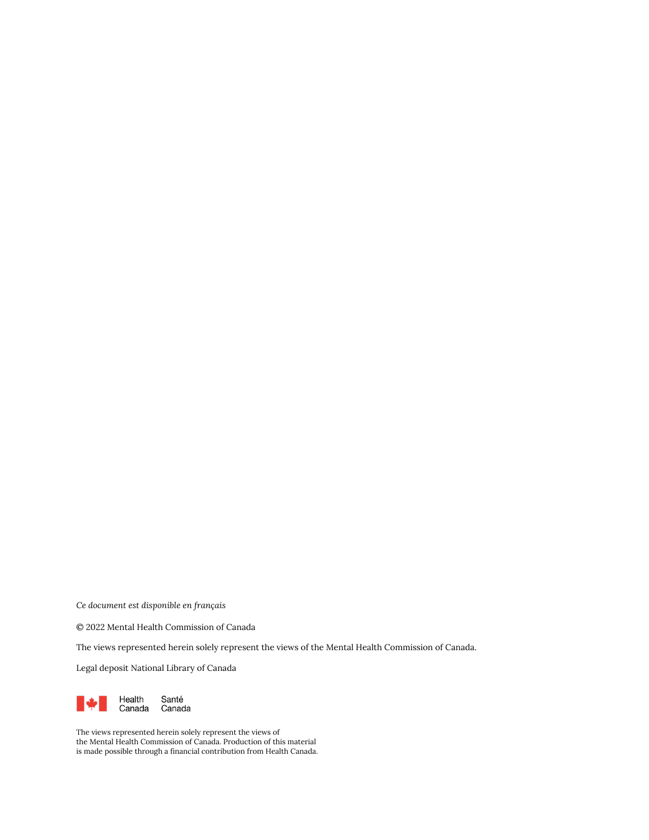*Ce document est disponible en français* 

© 2022 Mental Health Commission of Canada

The views represented herein solely represent the views of the Mental Health Commission of Canada.

Legal deposit National Library of Canada



The views represented herein solely represent the views of the Mental Health Commission of Canada. Production of this material is made possible through a financial contribution from Health Canada.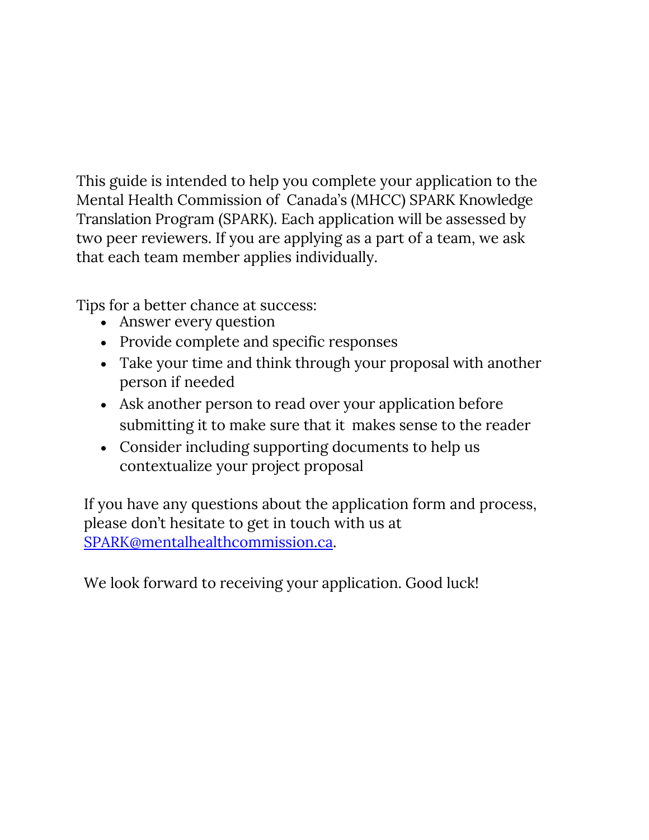This guide is intended to help you complete your application to the Mental Health Commission of Canada's (MHCC) SPARK Knowledge Translation Program (SPARK). Each application will be assessed by two peer reviewers. If you are applying as a part of a team, we ask that each team member applies individually.

Tips for a better chance at success:

- Answer every question
- Provide complete and specific responses
- Take your time and think through your proposal with another person if needed
- Ask another person to read over your application before submitting it to make sure that it makes sense to the reader
- Consider including supporting documents to help us contextualize your project proposal

If you have any questions about the application form and process, please don't hesitate to get in touch with us at [SPARK@mentalhealthcommission.ca.](mailto:SPARK@mentalhealthcommission.ca)

We look forward to receiving your application. Good luck!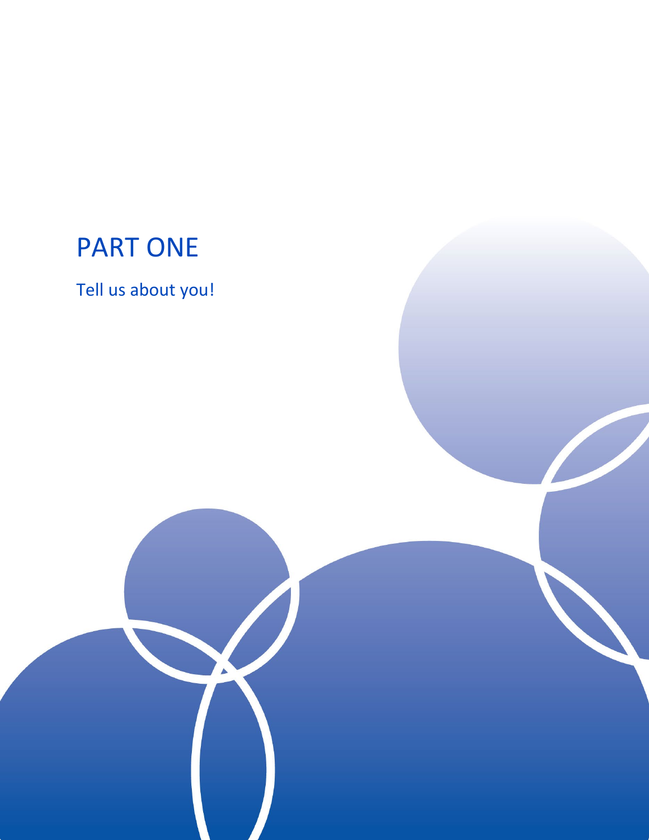### PART ONE

Tell us about you!

 $\blacktriangle$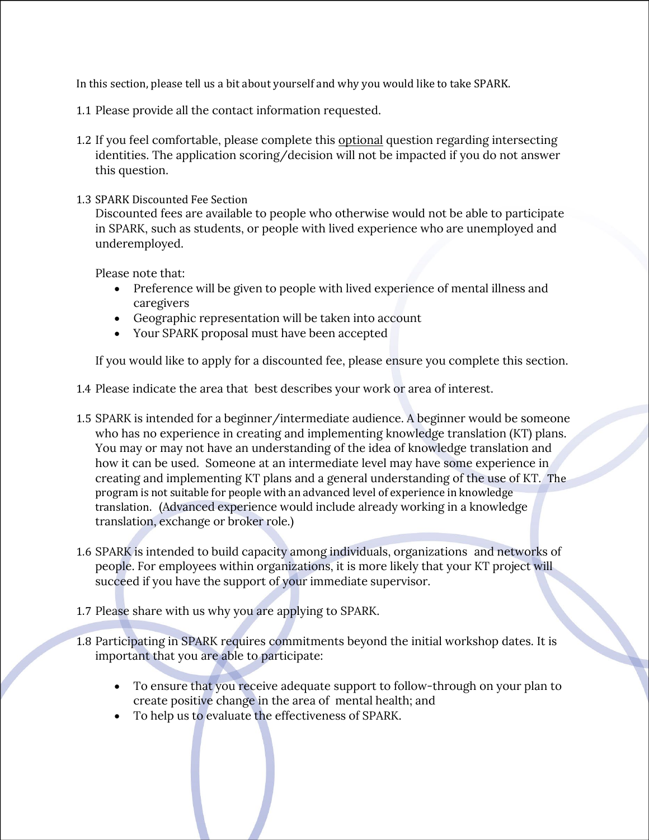In this section, please tell us a bit about yourself and why you would like to take SPARK.

- 1.1 Please provide all the contact information requested.
- 1.2 If you feel comfortable, please complete this optional question regarding intersecting identities. The application scoring/decision will not be impacted if you do not answer this question.
- 1.3 SPARK Discounted Fee Section

Discounted fees are available to people who otherwise would not be able to participate in SPARK, such as students, or people with lived experience who are unemployed and underemployed.

Please note that:

- Preference will be given to people with lived experience of mental illness and caregivers
- Geographic representation will be taken into account
- Your SPARK proposal must have been accepted

If you would like to apply for a discounted fee, please ensure you complete this section.

1.4 Please indicate the area that best describes your work or area of interest.

- 1.5 SPARK is intended for a beginner/intermediate audience. A beginner would be someone who has no experience in creating and implementing knowledge translation (KT) plans. You may or may not have an understanding of the idea of knowledge translation and how it can be used. Someone at an intermediate level may have some experience in creating and implementing KT plans and a general understanding of the use of KT. The program is not suitable for people with an advanced level of experience in knowledge translation. (Advanced experience would include already working in a knowledge translation, exchange or broker role.)
- 1.6 SPARK is intended to build capacity among individuals, organizations and networks of people. For employees within organizations, it is more likely that your KT project will succeed if you have the support of your immediate supervisor.
- 1.7 Please share with us why you are applying to SPARK.
- 1.8 Participating in SPARK requires commitments beyond the initial workshop dates. It is important that you are able to participate:
	- To ensure that you receive adequate support to follow-through on your plan to create positive change in the area of mental health; and
	- To help us to evaluate the effectiveness of SPARK.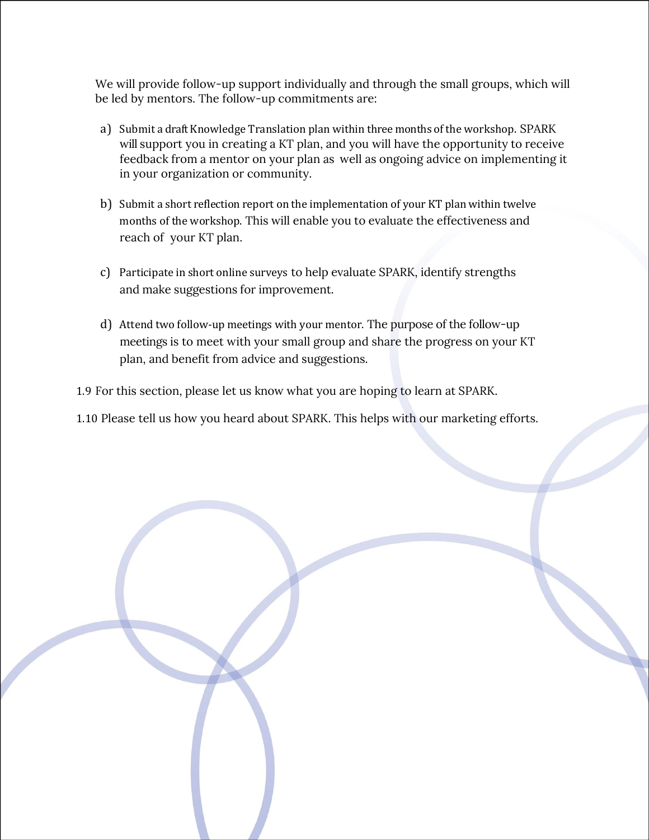We will provide follow-up support individually and through the small groups, which will be led by mentors. The follow-up commitments are:

- a) Submit a draft Knowledge Translation plan within three months of the workshop. SPARK will support you in creating a KT plan, and you will have the opportunity to receive feedback from a mentor on your plan as well as ongoing advice on implementing it in your organization or community.
- b) Submit a short reflection report on the implementation of your KT plan within twelve months of the workshop. This will enable you to evaluate the effectiveness and reach of your KT plan.
- c) Participate in short online surveys to help evaluate SPARK, identify strengths and make suggestions for improvement.
- d) Attend two follow-up meetings with your mentor. The purpose of the follow-up meetings is to meet with your small group and share the progress on your KT plan, and benefit from advice and suggestions.

1.9 For this section, please let us know what you are hoping to learn at SPARK.

1.10 Please tell us how you heard about SPARK. This helps with our marketing efforts.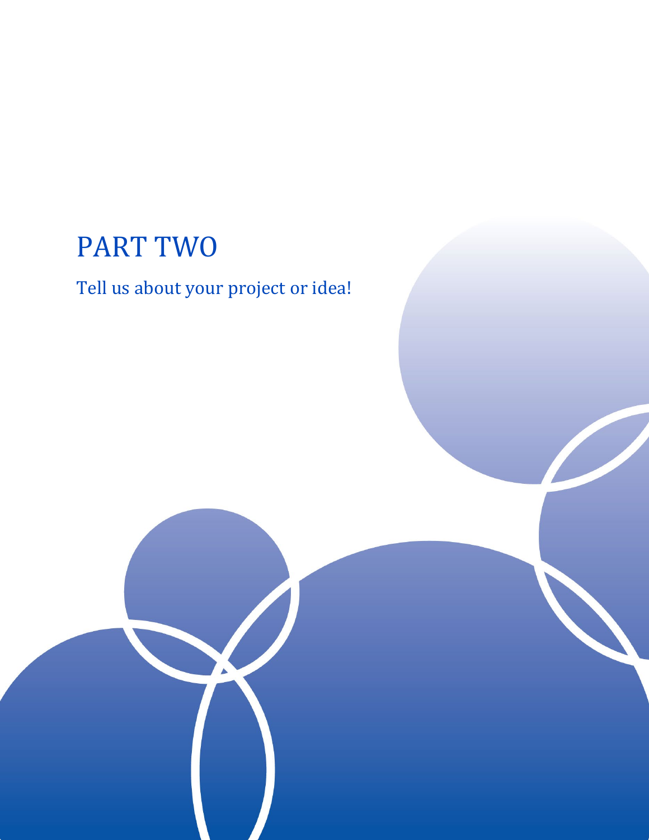## PART TWO

#### Tell us about your project or idea!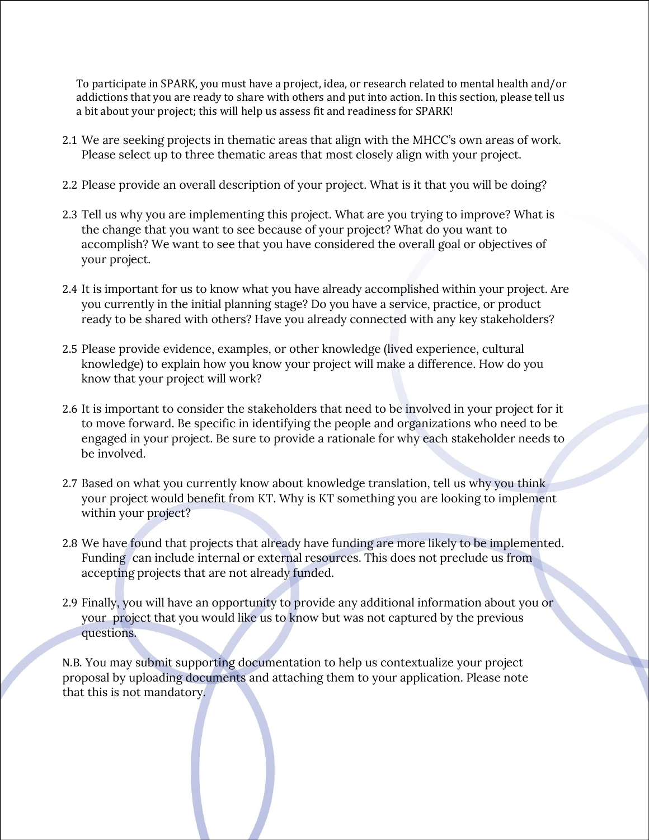To participate in SPARK, you must have a project, idea, or research related to mental health and/or addictions that you are ready to share with others and put into action. In this section, please tell us a bit about your project; this will help us assess fit and readiness for SPARK!

- 2.1 We are seeking projects in thematic areas that align with the MHCC's own areas of work. Please select up to three thematic areas that most closely align with your project.
- 2.2 Please provide an overall description of your project. What is it that you will be doing?
- 2.3 Tell us why you are implementing this project. What are you trying to improve? What is the change that you want to see because of your project? What do you want to accomplish? We want to see that you have considered the overall goal or objectives of your project.
- 2.4 It is important for us to know what you have already accomplished within your project. Are you currently in the initial planning stage? Do you have a service, practice, or product ready to be shared with others? Have you already connected with any key stakeholders?
- 2.5 Please provide evidence, examples, or other knowledge (lived experience, cultural knowledge) to explain how you know your project will make a difference. How do you know that your project will work?
- 2.6 It is important to consider the stakeholders that need to be involved in your project for it to move forward. Be specific in identifying the people and organizations who need to be engaged in your project. Be sure to provide a rationale for why each stakeholder needs to be involved.
- 2.7 Based on what you currently know about knowledge translation, tell us why you think your project would benefit from KT. Why is KT something you are looking to implement within your project?
- 2.8 We have found that projects that already have funding are more likely to be implemented. Funding can include internal or external resources. This does not preclude us from accepting projects that are not already funded.
- 2.9 Finally, you will have an opportunity to provide any additional information about you or your project that you would like us to know but was not captured by the previous questions.

N.B. You may submit supporting documentation to help us contextualize your project proposal by uploading documents and attaching them to your application. Please note that this is not mandatory.